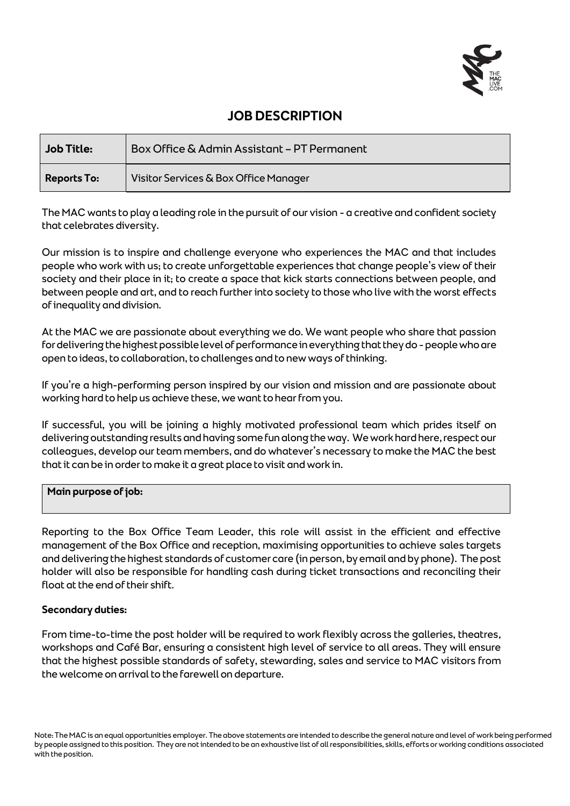

# **JOB DESCRIPTION**

| <b>Job Title:</b>  | Box Office & Admin Assistant - PT Permanent |
|--------------------|---------------------------------------------|
| <b>Reports To:</b> | Visitor Services & Box Office Manager       |

The MAC wants to play a leading role in the pursuit of our vision - a creative and confident society that celebrates diversity.

Our mission is to inspire and challenge everyone who experiences the MAC and that includes people who work with us; to create unforgettable experiences that change people's view of their society and their place in it; to create a space that kick starts connections between people, and between people and art, and to reach further into society to those who live with the worst effects of inequality and division.

At the MAC we are passionate about everything we do. We want people who share that passion for delivering the highest possible level of performance in everything that they do -people who are open to ideas, to collaboration, to challenges and to new ways of thinking.

If you're a high-performing person inspired by our vision and mission and are passionate about working hard to help us achieve these, we want to hear from you.

If successful, you will be joining a highly motivated professional team which prides itself on delivering outstanding results and having some fun along the way. We work hard here, respect our colleagues, develop our team members, and do whatever's necessary to make the MAC the best that it can be in order to make it a great place to visit and work in.

### **Main purpose of job:**

Reporting to the Box Office Team Leader, this role will assist in the efficient and effective management of the Box Office and reception, maximising opportunities to achieve sales targets and delivering the highest standards of customer care (in person, by email and by phone). The post holder will also be responsible for handling cash during ticket transactions and reconciling their float at the end of their shift.

### **Secondary duties:**

From time-to-time the post holder will be required to work flexibly across the galleries, theatres, workshops and Café Bar, ensuring a consistent high level of service to all areas. They will ensure that the highest possible standards of safety, stewarding, sales and service to MAC visitors from the welcome on arrival to the farewell on departure.

Note: The MAC is an equal opportunities employer. The above statements are intended to describe the general nature and level of work being performed by people assigned to this position. They are not intended to be an exhaustive list of all responsibilities, skills, efforts or working conditions associated with the position.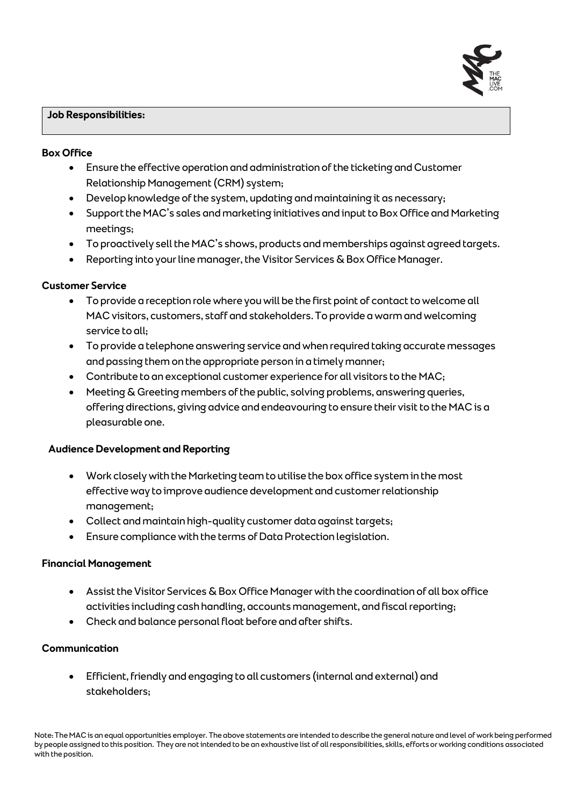#### **Job Responsibilities:**

#### **Box Office**

- Ensure the effective operation and administration of the ticketing and Customer Relationship Management (CRM) system;
- Develop knowledge of the system, updating and maintaining it as necessary;
- Support the MAC's sales and marketing initiatives and input to Box Office and Marketing meetings;
- To proactively sell the MAC's shows, products and memberships against agreed targets.
- Reporting into your line manager, the Visitor Services & Box Office Manager.

### **Customer Service**

- To provide a reception role where you will be the first point of contact to welcome all MAC visitors, customers, staff and stakeholders. To provide a warm and welcoming service to all;
- To provide a telephone answering service and when required taking accurate messages and passing them on the appropriate person in a timely manner;
- Contribute to an exceptional customer experience for all visitors to the MAC;
- Meeting & Greeting members of the public, solving problems, answering queries, offering directions, giving advice and endeavouring to ensure their visit to the MAC is a pleasurable one.

### **Audience Development and Reporting**

- Work closely with the Marketing team to utilise the box office system in the most effective way to improve audience development and customer relationship management;
- Collect and maintain high-quality customer data against targets;
- Ensure compliance with the terms of Data Protection legislation.

### **Financial Management**

- Assist the Visitor Services & Box Office Manager with the coordination of all box office activities including cash handling, accounts management, and fiscal reporting;
- Check and balance personal float before and after shifts.

### **Communication**

• Efficient, friendly and engaging to all customers (internal and external) and stakeholders;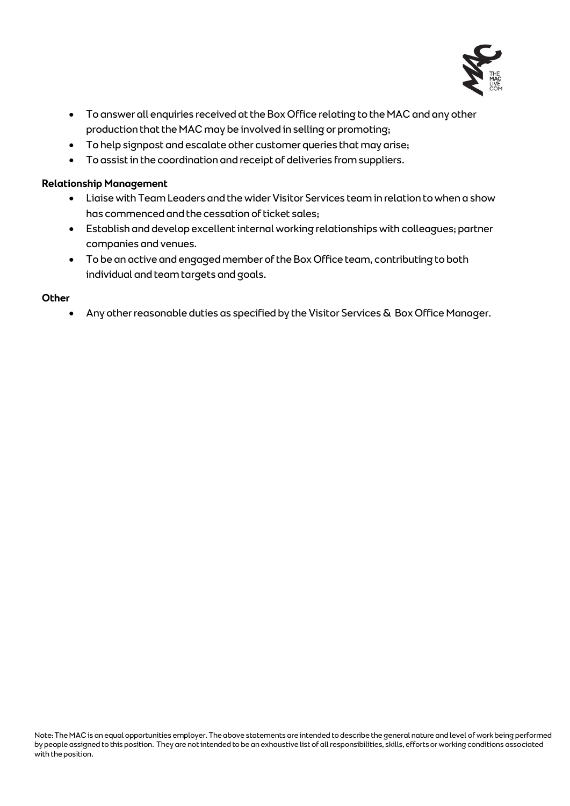

- To answer all enquiries received at the Box Office relating to the MAC and any other production that the MAC may be involved in selling or promoting;
- To help signpost and escalate other customer queries that may arise;
- To assist in the coordination and receipt of deliveries from suppliers.

## **Relationship Management**

- Liaise with Team Leaders and the wider Visitor Services team in relation to when a show has commenced and the cessation of ticket sales;
- Establish and develop excellent internal working relationships with colleagues; partner companies and venues.
- To be an active and engaged member of the Box Office team, contributing to both individual and team targets and goals.

#### **Other**

• Any other reasonable duties as specified by the Visitor Services & Box Office Manager.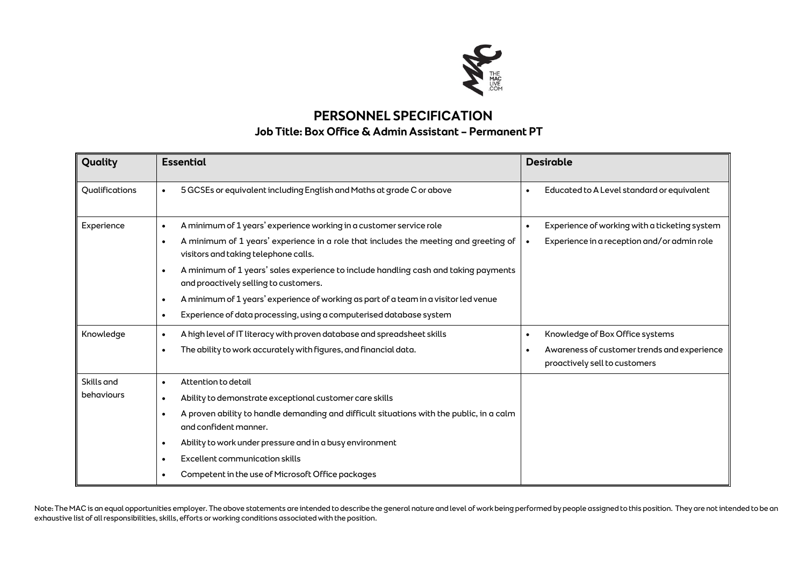

## **PERSONNEL SPECIFICATION Job Title: Box Office & Admin Assistant – Permanent PT**

| Quality                  | <b>Essential</b>                                                                                                                          | <b>Desirable</b>                                                                          |
|--------------------------|-------------------------------------------------------------------------------------------------------------------------------------------|-------------------------------------------------------------------------------------------|
| Qualifications           | 5 GCSEs or equivalent including English and Maths at grade C or above<br>$\bullet$                                                        | Educated to A Level standard or equivalent<br>$\bullet$                                   |
| Experience               | A minimum of 1 years' experience working in a customer service role<br>$\bullet$                                                          | Experience of working with a ticketing system<br>$\bullet$                                |
|                          | A minimum of 1 years' experience in a role that includes the meeting and greeting of<br>$\bullet$<br>visitors and taking telephone calls. | Experience in a reception and/or admin role<br>$\bullet$                                  |
|                          | A minimum of 1 years' sales experience to include handling cash and taking payments<br>$\bullet$<br>and proactively selling to customers. |                                                                                           |
|                          | A minimum of 1 years' experience of working as part of a team in a visitor led venue<br>$\bullet$                                         |                                                                                           |
|                          | Experience of data processing, using a computerised database system<br>$\bullet$                                                          |                                                                                           |
| Knowledge                | A high level of IT literacy with proven database and spreadsheet skills<br>$\bullet$                                                      | Knowledge of Box Office systems<br>$\bullet$                                              |
|                          | The ability to work accurately with figures, and financial data.<br>$\bullet$                                                             | Awareness of customer trends and experience<br>$\bullet$<br>proactively sell to customers |
| Skills and<br>behaviours | Attention to detail<br>$\bullet$                                                                                                          |                                                                                           |
|                          | Ability to demonstrate exceptional customer care skills<br>$\bullet$                                                                      |                                                                                           |
|                          | A proven ability to handle demanding and difficult situations with the public, in a calm<br>$\bullet$<br>and confident manner.            |                                                                                           |
|                          | Ability to work under pressure and in a busy environment<br>$\bullet$                                                                     |                                                                                           |
|                          | Excellent communication skills<br>$\bullet$                                                                                               |                                                                                           |
|                          | Competent in the use of Microsoft Office packages                                                                                         |                                                                                           |

Note: The MAC is an equal opportunities employer. The above statements are intended to describe the general nature and level of work being performed by people assigned to this position. They are not intended to be an exhaustive list of all responsibilities, skills, efforts or working conditions associated with the position.